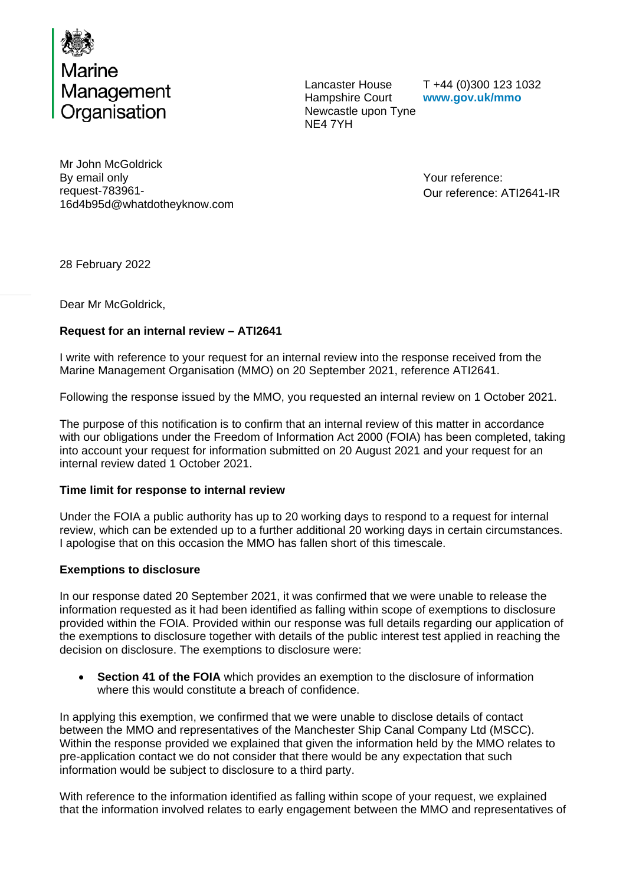

Lancaster House Hampshire Court Newcastle upon Tyne NE4 7YH

T +44 (0)300 123 1032 **www.gov.uk/mmo**

Mr John McGoldrick By email only request-783961- 16d4b95d@whatdotheyknow.com

Your reference: Our reference: ATI2641-IR

28 February 2022

Dear Mr McGoldrick,

# **Request for an internal review – ATI2641**

I write with reference to your request for an internal review into the response received from the Marine Management Organisation (MMO) on 20 September 2021, reference ATI2641.

Following the response issued by the MMO, you requested an internal review on 1 October 2021.

The purpose of this notification is to confirm that an internal review of this matter in accordance with our obligations under the Freedom of Information Act 2000 (FOIA) has been completed, taking into account your request for information submitted on 20 August 2021 and your request for an internal review dated 1 October 2021.

## **Time limit for response to internal review**

Under the FOIA a public authority has up to 20 working days to respond to a request for internal review, which can be extended up to a further additional 20 working days in certain circumstances. I apologise that on this occasion the MMO has fallen short of this timescale.

## **Exemptions to disclosure**

In our response dated 20 September 2021, it was confirmed that we were unable to release the information requested as it had been identified as falling within scope of exemptions to disclosure provided within the FOIA. Provided within our response was full details regarding our application of the exemptions to disclosure together with details of the public interest test applied in reaching the decision on disclosure. The exemptions to disclosure were:

• **Section 41 of the FOIA** which provides an exemption to the disclosure of information where this would constitute a breach of confidence.

In applying this exemption, we confirmed that we were unable to disclose details of contact between the MMO and representatives of the Manchester Ship Canal Company Ltd (MSCC). Within the response provided we explained that given the information held by the MMO relates to pre-application contact we do not consider that there would be any expectation that such information would be subject to disclosure to a third party.

With reference to the information identified as falling within scope of your request, we explained that the information involved relates to early engagement between the MMO and representatives of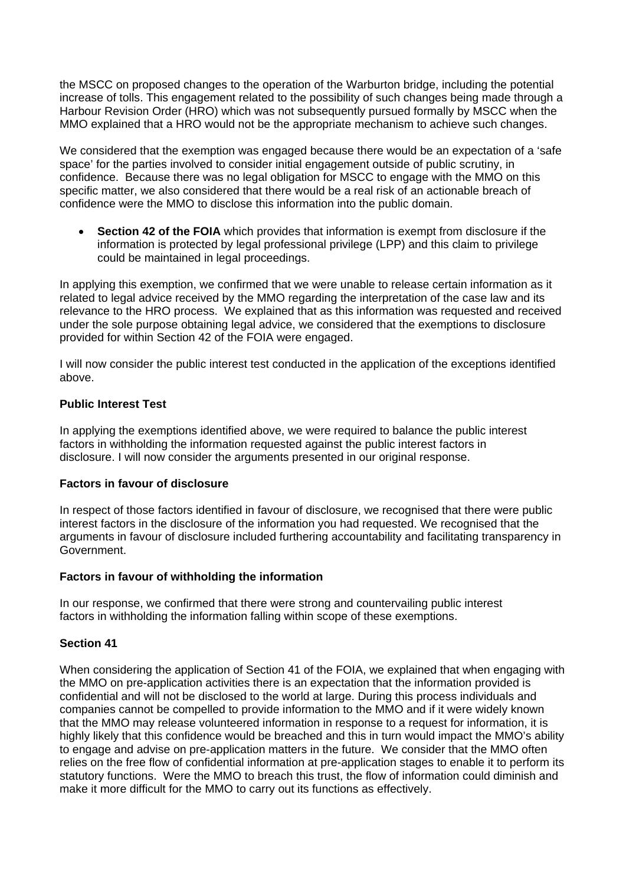the MSCC on proposed changes to the operation of the Warburton bridge, including the potential increase of tolls. This engagement related to the possibility of such changes being made through a Harbour Revision Order (HRO) which was not subsequently pursued formally by MSCC when the MMO explained that a HRO would not be the appropriate mechanism to achieve such changes.

We considered that the exemption was engaged because there would be an expectation of a 'safe space' for the parties involved to consider initial engagement outside of public scrutiny, in confidence. Because there was no legal obligation for MSCC to engage with the MMO on this specific matter, we also considered that there would be a real risk of an actionable breach of confidence were the MMO to disclose this information into the public domain.

• **Section 42 of the FOIA** which provides that information is exempt from disclosure if the information is protected by legal professional privilege (LPP) and this claim to privilege could be maintained in legal proceedings.

In applying this exemption, we confirmed that we were unable to release certain information as it related to legal advice received by the MMO regarding the interpretation of the case law and its relevance to the HRO process. We explained that as this information was requested and received under the sole purpose obtaining legal advice, we considered that the exemptions to disclosure provided for within Section 42 of the FOIA were engaged.

I will now consider the public interest test conducted in the application of the exceptions identified above.

## **Public Interest Test**

In applying the exemptions identified above, we were required to balance the public interest factors in withholding the information requested against the public interest factors in disclosure. I will now consider the arguments presented in our original response.

#### **Factors in favour of disclosure**

In respect of those factors identified in favour of disclosure, we recognised that there were public interest factors in the disclosure of the information you had requested. We recognised that the arguments in favour of disclosure included furthering accountability and facilitating transparency in Government.

## **Factors in favour of withholding the information**

In our response, we confirmed that there were strong and countervailing public interest factors in withholding the information falling within scope of these exemptions.

## **Section 41**

When considering the application of Section 41 of the FOIA, we explained that when engaging with the MMO on pre-application activities there is an expectation that the information provided is confidential and will not be disclosed to the world at large. During this process individuals and companies cannot be compelled to provide information to the MMO and if it were widely known that the MMO may release volunteered information in response to a request for information, it is highly likely that this confidence would be breached and this in turn would impact the MMO's ability to engage and advise on pre-application matters in the future. We consider that the MMO often relies on the free flow of confidential information at pre-application stages to enable it to perform its statutory functions. Were the MMO to breach this trust, the flow of information could diminish and make it more difficult for the MMO to carry out its functions as effectively.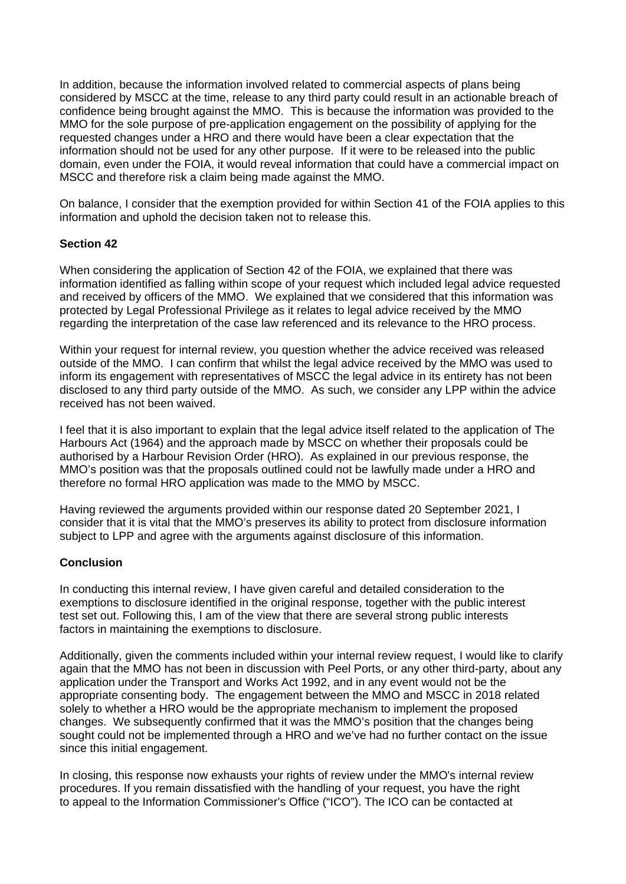In addition, because the information involved related to commercial aspects of plans being considered by MSCC at the time, release to any third party could result in an actionable breach of confidence being brought against the MMO. This is because the information was provided to the MMO for the sole purpose of pre-application engagement on the possibility of applying for the requested changes under a HRO and there would have been a clear expectation that the information should not be used for any other purpose. If it were to be released into the public domain, even under the FOIA, it would reveal information that could have a commercial impact on MSCC and therefore risk a claim being made against the MMO.

On balance, I consider that the exemption provided for within Section 41 of the FOIA applies to this information and uphold the decision taken not to release this.

### **Section 42**

When considering the application of Section 42 of the FOIA, we explained that there was information identified as falling within scope of your request which included legal advice requested and received by officers of the MMO. We explained that we considered that this information was protected by Legal Professional Privilege as it relates to legal advice received by the MMO regarding the interpretation of the case law referenced and its relevance to the HRO process.

Within your request for internal review, you question whether the advice received was released outside of the MMO. I can confirm that whilst the legal advice received by the MMO was used to inform its engagement with representatives of MSCC the legal advice in its entirety has not been disclosed to any third party outside of the MMO. As such, we consider any LPP within the advice received has not been waived.

I feel that it is also important to explain that the legal advice itself related to the application of The Harbours Act (1964) and the approach made by MSCC on whether their proposals could be authorised by a Harbour Revision Order (HRO). As explained in our previous response, the MMO's position was that the proposals outlined could not be lawfully made under a HRO and therefore no formal HRO application was made to the MMO by MSCC.

Having reviewed the arguments provided within our response dated 20 September 2021, I consider that it is vital that the MMO's preserves its ability to protect from disclosure information subject to LPP and agree with the arguments against disclosure of this information.

## **Conclusion**

In conducting this internal review, I have given careful and detailed consideration to the exemptions to disclosure identified in the original response, together with the public interest test set out. Following this, I am of the view that there are several strong public interests factors in maintaining the exemptions to disclosure.

Additionally, given the comments included within your internal review request, I would like to clarify again that the MMO has not been in discussion with Peel Ports, or any other third-party, about any application under the Transport and Works Act 1992, and in any event would not be the appropriate consenting body. The engagement between the MMO and MSCC in 2018 related solely to whether a HRO would be the appropriate mechanism to implement the proposed changes. We subsequently confirmed that it was the MMO's position that the changes being sought could not be implemented through a HRO and we've had no further contact on the issue since this initial engagement.

In closing, this response now exhausts your rights of review under the MMO's internal review procedures. If you remain dissatisfied with the handling of your request, you have the right to appeal to the Information Commissioner's Office ("ICO"). The ICO can be contacted at